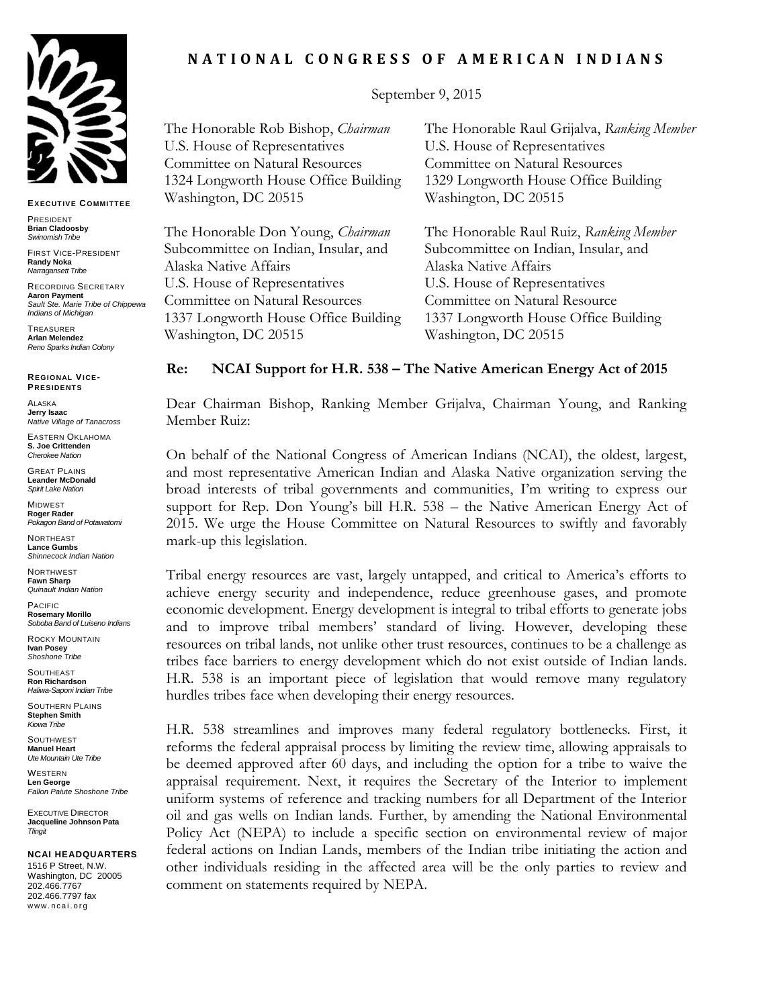

**EXECUT IVE COMMIT TEE**

PRESIDENT **Brian Cladoosby** *Swinomish Tribe*

FIRST VICE-PRESIDENT **Randy Noka** *Narragansett Tribe*

RECORDING SECRETARY **Aaron Payment** *Sault Ste. Marie Tribe of Chippewa Indians of Michigan*

TREASURER **Arlan Melendez** *Reno Sparks Indian Colony*

**REGIONAL VICE-PRESIDENT S**

ALASKA **Jerry Isaac** *Native Village of Tanacross*

EASTERN OKLAHOMA **S. Joe Crittenden** *Cherokee Nation*

GREAT PLAINS **Leander McDonald** *Spirit Lake Nation*

MIDWEST **Roger Rader** *Pokagon Band of Potawatomi* 

NORTHEAST **Lance Gumbs** *Shinnecock Indian Nation*

**NORTHWEST Fawn Sharp** *Quinault Indian Nation*

PACIFIC **Rosemary Morillo** *Soboba Band of Luiseno Indians*

ROCKY MOUNTAIN **Ivan Posey** *Shoshone Tribe*

SOUTHEAST **Ron Richardson** *Haliwa-Saponi Indian Tribe*

SOUTHERN PLAINS **Stephen Smith** *Kiowa Tribe*

**SOUTHWEST Manuel Heart** *Ute Mountain Ute Tribe*

**WESTERN Len George** *Fallon Paiute Shoshone Tribe*

EXECUTIVE DIRECTOR **Jacqueline Johnson Pata** *Tlingit*

## **NCAI HEADQUARTERS**

1516 P Street, N.W. Washington, DC 20005 202.466.7767 202.466.7797 fax www.ncai.org

## **N A T I O N A L C O N G R E S S O F A M E R I C A N I N D I A N S**

September 9, 2015

The Honorable Rob Bishop, *Chairman*  U.S. House of Representatives Committee on Natural Resources 1324 Longworth House Office Building Washington, DC 20515

The Honorable Don Young, *Chairman* Subcommittee on Indian, Insular, and Alaska Native Affairs U.S. House of Representatives Committee on Natural Resources 1337 Longworth House Office Building Washington, DC 20515

The Honorable Raul Grijalva, *Ranking Member* U.S. House of Representatives Committee on Natural Resources 1329 Longworth House Office Building Washington, DC 20515

The Honorable Raul Ruiz, *Ranking Member* Subcommittee on Indian, Insular, and Alaska Native Affairs U.S. House of Representatives Committee on Natural Resource 1337 Longworth House Office Building Washington, DC 20515

## **Re: NCAI Support for H.R. 538 – The Native American Energy Act of 2015**

Dear Chairman Bishop, Ranking Member Grijalva, Chairman Young, and Ranking Member Ruiz:

On behalf of the National Congress of American Indians (NCAI), the oldest, largest, and most representative American Indian and Alaska Native organization serving the broad interests of tribal governments and communities, I'm writing to express our support for Rep. Don Young's bill H.R. 538 – the Native American Energy Act of 2015. We urge the House Committee on Natural Resources to swiftly and favorably mark-up this legislation.

Tribal energy resources are vast, largely untapped, and critical to America's efforts to achieve energy security and independence, reduce greenhouse gases, and promote economic development. Energy development is integral to tribal efforts to generate jobs and to improve tribal members' standard of living. However, developing these resources on tribal lands, not unlike other trust resources, continues to be a challenge as tribes face barriers to energy development which do not exist outside of Indian lands. H.R. 538 is an important piece of legislation that would remove many regulatory hurdles tribes face when developing their energy resources.

H.R. 538 streamlines and improves many federal regulatory bottlenecks. First, it reforms the federal appraisal process by limiting the review time, allowing appraisals to be deemed approved after 60 days, and including the option for a tribe to waive the appraisal requirement. Next, it requires the Secretary of the Interior to implement uniform systems of reference and tracking numbers for all Department of the Interior oil and gas wells on Indian lands. Further, by amending the National Environmental Policy Act (NEPA) to include a specific section on environmental review of major federal actions on Indian Lands, members of the Indian tribe initiating the action and other individuals residing in the affected area will be the only parties to review and comment on statements required by NEPA.